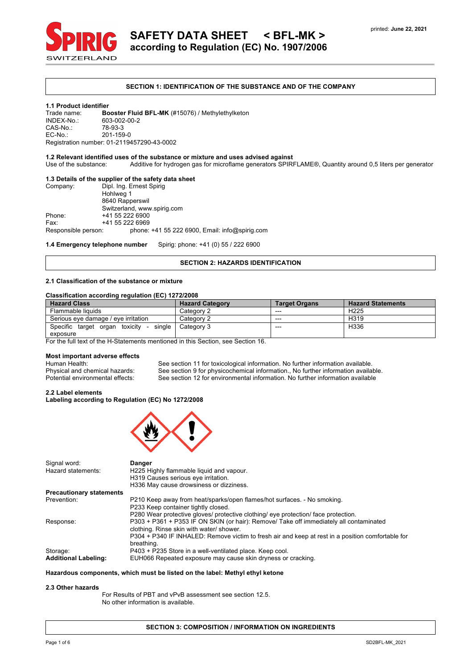

# **SAFETY DATA SHEET < BFL-MK > according to Regulation (EC) No. 1907/2006**

### **SECTION 1: IDENTIFICATION OF THE SUBSTANCE AND OF THE COMPANY**

#### **1.1 Product identifier**

Trade name: **Booster Fluid BFL-MK** (#15076) / Methylethylketon 603-002-00-2<br>78-93-3 CAS-No.:<br>FC-No.: EC-No.: 201-159-0 Registration number: 01-2119457290-43-0002

# **1.2 Relevant identified uses of the substance or mixture and uses advised against**

Use of the substance: Additive for hydrogen gas for microflame generators SPIRFLAME®, Quantity around 0,5 liters per generator

# **1.3 Details of the supplier of the safety data sheet**

| Company:            | Dipl. Ing. Ernest Spirig                         |
|---------------------|--------------------------------------------------|
|                     | Hohlweg 1                                        |
|                     | 8640 Rapperswil                                  |
|                     | Switzerland, www.spirig.com                      |
| Phone:              | +41 55 222 6900                                  |
| Fax:                | +41 55 222 6969                                  |
| Responsible person: | phone: $+41$ 55 222 6900, Email: info@spirig.com |

**1.4 Emergency telephone number** Spirig: phone: +41 (0) 55 / 222 6900

### **SECTION 2: HAZARDS IDENTIFICATION**

# **2.1 Classification of the substance or mixture**

#### **Classification according regulation (EC) 1272/2008**

| <b>Hazard Class</b>                                                                 | <b>Hazard Category</b> | <b>Target Organs</b> | <b>Hazard Statements</b> |
|-------------------------------------------------------------------------------------|------------------------|----------------------|--------------------------|
| Flammable liquids                                                                   | Category 2             | ---                  | H <sub>225</sub>         |
| Serious eve damage / eve irritation                                                 | Category 2             | $- - -$              | H <sub>319</sub>         |
| Specific target organ<br>toxicity<br>single<br>$\overline{\phantom{a}}$<br>exposure | Category 3             | $---$                | H336                     |

For the full text of the H-Statements mentioned in this Section, see Section 16.

# **Most important adverse effects**

Human Health: See section 11 for toxicological information. No further information available.<br>
Physical and chemical hazards: See section 9 for physicochemical information., No further information availa Physical and chemical hazards: See section 9 for physicochemical information., No further information available.<br>Potential environmental effects: See section 12 for environmental information. No further information availab See section 12 for environmental information. No further information available

# **2.2 Label elements**

**Labeling according to Regulation (EC) No 1272/2008**



| Signal word:                    | Danger                                                                                            |
|---------------------------------|---------------------------------------------------------------------------------------------------|
| Hazard statements:              | H225 Highly flammable liquid and vapour.                                                          |
|                                 | H319 Causes serious eye irritation.                                                               |
|                                 | H336 May cause drowsiness or dizziness.                                                           |
| <b>Precautionary statements</b> |                                                                                                   |
| Prevention:                     | P210 Keep away from heat/sparks/open flames/hot surfaces. - No smoking.                           |
|                                 | P233 Keep container tightly closed.                                                               |
|                                 | P280 Wear protective gloves/ protective clothing/ eye protection/ face protection.                |
| Response:                       | P303 + P361 + P353 IF ON SKIN (or hair): Remove/ Take off immediately all contaminated            |
|                                 | clothing. Rinse skin with water/shower.                                                           |
|                                 | P304 + P340 IF INHALED: Remove victim to fresh air and keep at rest in a position comfortable for |
|                                 | breathing.                                                                                        |
| Storage:                        | P403 + P235 Store in a well-ventilated place. Keep cool.                                          |
| <b>Additional Labeling:</b>     | EUH066 Repeated exposure may cause skin dryness or cracking.                                      |

#### **Hazardous components, which must be listed on the label: Methyl ethyl ketone**

# **2.3 Other hazards**

For Results of PBT and vPvB assessment see section 12.5. No other information is available.

#### **SECTION 3: COMPOSITION / INFORMATION ON INGREDIENTS**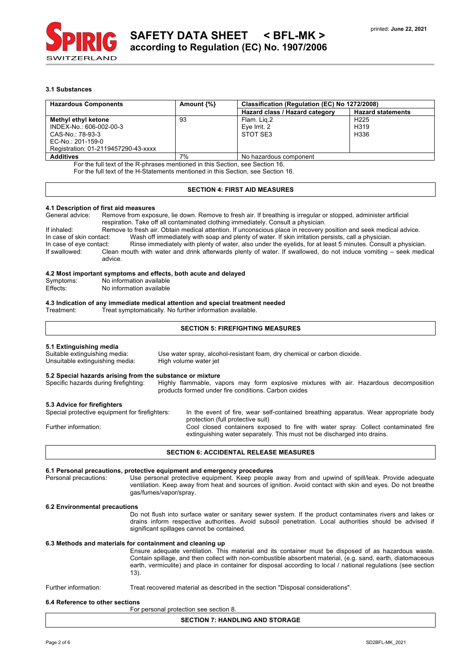

# **3.1 Substances**

| <b>Hazardous Components</b>         | Amount $\{\% \}$ | Classification (Regulation (EC) No 1272/2008) |                          |  |
|-------------------------------------|------------------|-----------------------------------------------|--------------------------|--|
|                                     |                  | Hazard class / Hazard category                | <b>Hazard statements</b> |  |
| Methyl ethyl ketone                 | 93               | Flam. Lig.2                                   | H <sub>225</sub>         |  |
| INDEX-No.: 606-002-00-3             |                  | Eve Irrit. 2                                  | H <sub>3</sub> 19        |  |
| CAS-No.: 78-93-3                    |                  | STOT SE3                                      | H336                     |  |
| EC-No.: 201-159-0                   |                  |                                               |                          |  |
| Registration: 01-2119457290-43-xxxx |                  |                                               |                          |  |
| <b>Additives</b>                    | 7%               | No hazardous component                        |                          |  |

For the full text of the R-phrases mentioned in this Section, see Section 16.

For the full text of the H-Statements mentioned in this Section, see Section 16.

# **SECTION 4: FIRST AID MEASURES**

# **4.1 Description of first aid measures**

General advice: Remove from exposure, lie down. Remove to fresh air. If breathing is irregular or stopped, administer artificial respiration. Take off all contaminated clothing immediately. Consult a physician.

If inhaled: Remove to fresh air. Obtain medical attention. If unconscious place in recovery position and seek medical advice. In case of skin contact: Wash off immediately with soap and plenty of water. If skin irritation persists, call a physician. In case of eye contact: Rinse immediately with plenty of water, also under the eyelids, for at least 5 minutes. Consult a physician.<br>If swallowed: Clean mouth with water and drink afterwards plenty of water. If swallowed, Clean mouth with water and drink afterwards plenty of water. If swallowed, do not induce vomiting – seek medical advice.

### **4.2 Most important symptoms and effects, both acute and delayed**

| Symptoms: |  |  | No information available |  |  |
|-----------|--|--|--------------------------|--|--|
|           |  |  |                          |  |  |

Effects: No information available

# **4.3 Indication of any immediate medical attention and special treatment needed**

Treat symptomatically. No further information available.

# **SECTION 5: FIREFIGHTING MEASURES**

# **5.1 Extinguishing media**

Suitable extinguishing media: Use water spray, alcohol-resistant foam, dry chemical or carbon dioxide. Unsuitable extinguishing media: High volume water jet

### **5.2 Special hazards arising from the substance or mixture**

Specific hazards during firefighting: Highly flammable, vapors may form explosive mixtures with air. Hazardous decomposition products formed under fire conditions. Carbon oxides

# **5.3 Advice for firefighters**

| In the event of fire, wear self-contained breathing apparatus. Wear appropriate body |
|--------------------------------------------------------------------------------------|
| protection (full protective suit)                                                    |
| Cool closed containers exposed to fire with water spray. Collect contaminated fire   |
| extinguishing water separately. This must not be discharged into drains.             |
|                                                                                      |

### **SECTION 6: ACCIDENTAL RELEASE MEASURES**

### **6.1 Personal precautions, protective equipment and emergency procedures**

Personal precautions: Use personal protective equipment. Keep people away from and upwind of spill/leak. Provide adequate ventilation. Keep away from heat and sources of ignition. Avoid contact with skin and eyes. Do not breathe gas/fumes/vapor/spray.

# **6.2 Environmental precautions**

Do not flush into surface water or sanitary sewer system. If the product contaminates rivers and lakes or drains inform respective authorities. Avoid subsoil penetration. Local authorities should be advised if significant spillages cannot be contained.

# **6.3 Methods and materials for containment and cleaning up**

Ensure adequate ventilation. This material and its container must be disposed of as hazardous waste. Contain spillage, and then collect with non-combustible absorbent material, (e.g. sand, earth, diatomaceous earth, vermiculite) and place in container for disposal according to local / national regulations (see section 13).

# Further information: Treat recovered material as described in the section "Disposal considerations".

### **6.4 Reference to other sections**

For personal protection see section 8.

# **SECTION 7: HANDLING AND STORAGE**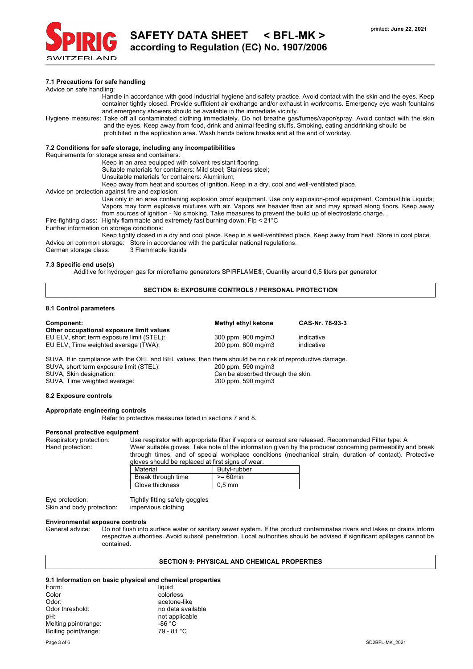

## **7.1 Precautions for safe handling**

#### Advice on safe handling:

- Handle in accordance with good industrial hygiene and safety practice. Avoid contact with the skin and the eyes. Keep container tightly closed. Provide sufficient air exchange and/or exhaust in workrooms. Emergency eye wash fountains and emergency showers should be available in the immediate vicinity.
- Hygiene measures: Take off all contaminated clothing immediately. Do not breathe gas/fumes/vapor/spray. Avoid contact with the skin and the eyes. Keep away from food, drink and animal feeding stuffs. Smoking, eating anddrinking should be prohibited in the application area. Wash hands before breaks and at the end of workday.

# **7.2 Conditions for safe storage, including any incompatibilities**

Requirements for storage areas and containers:

Keep in an area equipped with solvent resistant flooring.

Suitable materials for containers: Mild steel; Stainless steel;

Unsuitable materials for containers: Aluminium;

Keep away from heat and sources of ignition. Keep in a dry, cool and well-ventilated place.

Advice on protection against fire and explosion:

Use only in an area containing explosion proof equipment. Use only explosion-proof equipment. Combustible Liquids; Vapors may form explosive mixtures with air. Vapors are heavier than air and may spread along floors. Keep away from sources of ignition - No smoking. Take measures to prevent the build up of electrostatic charge. .

Fire-fighting class: Highly flammable and extremely fast burning down; Flp < 21°C

Further information on storage conditions:

Keep tightly closed in a dry and cool place. Keep in a well-ventilated place. Keep away from heat. Store in cool place. Advice on common storage: Store in accordance with the particular national regulations.<br>German storage class: 3 Flammable liguids

German storage class:

#### **7.3 Specific end use(s)**

Additive for hydrogen gas for microflame generators SPIRFLAME®, Quantity around 0,5 liters per generator

# **SECTION 8: EXPOSURE CONTROLS / PERSONAL PROTECTION**

# **8.1 Control parameters**

#### **Other occupational exposure limit values**

# **Component: Methyl ethyl ketone CAS-Nr. 78-93-3**

SUVA If in compliance with the OEL and BEL values, then there should be no risk of reproductive damage. SUVA, short term exposure limit (STEL): 200 ppm, 590 mg/m3 SUVA, Skin designation: Can be absorbed through the skin. SUVA, Time weighted average: 200 ppm, 590 mg/m3

EU ELV, short term exposure limit (STEL): 300 ppm, 900 mg/m3 indicative EU ELV, Time weighted average (TWA): 200 ppm, 600 mg/m3 indicative

#### **8.2 Exposure controls**

# **Appropriate engineering controls**

Refer to protective measures listed in sections 7 and 8.

# **Personal protective equipment**

Respiratory protection: Use respirator with appropriate filter if vapors or aerosol are released. Recommended Filter type: A<br>Hand protection: Wear suitable gloves. Take note of the information given by the producer concern Wear suitable gloves. Take note of the information given by the producer concerning permeability and break through times, and of special workplace conditions (mechanical strain, duration of contact). Protective gloves should be replaced at first signs of wear.

| Material           | Butyl-rubber |
|--------------------|--------------|
| Break through time | $>= 60$ min  |
| Glove thickness    | $0.5$ mm     |

| Eye protection:           | Tightly fitting safety goggles |
|---------------------------|--------------------------------|
| Skin and body protection: | impervious clothing            |

#### **Environmental exposure controls**

General advice: Do not flush into surface water or sanitary sewer system. If the product contaminates rivers and lakes or drains inform respective authorities. Avoid subsoil penetration. Local authorities should be advised if significant spillages cannot be contained.

# **SECTION 9: PHYSICAL AND CHEMICAL PROPERTIES**

# **9.1 Information on basic physical and chemical properties**

| Form:                | liquid            |
|----------------------|-------------------|
| Color                | colorless         |
| Odor:                | acetone-like      |
| Odor threshold:      | no data available |
| pH:                  | not applicable    |
| Melting point/range: | $-86 °C$          |
| Boiling point/range: | 79 - 81 °C        |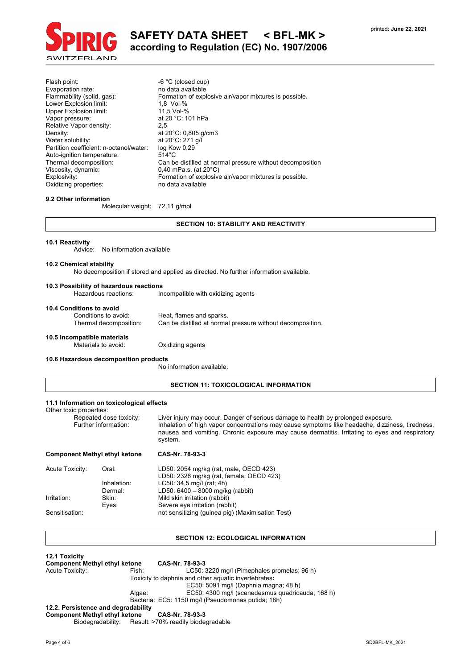

# **SAFETY DATA SHEET < BFL-MK > according to Regulation (EC) No. 1907/2006**

Flash point:  $-6 °C$  (closed cup)<br>Evaporation rate:  $-6 °C$  no data available Evaporation rate:<br>Flammability (solid, gas): Formation of explosive air/vapor mixtures is possible.<br>1,8 Vol-% Lower Explosion limit: 1,8 Vol-% Upper Explosion limit:<br>Vapor pressure: at 20 °C: 101 hPa Relative Vapor density: 2,5 Density: at 20°C: 0,805 g/cm3<br>Water solubility: at 20°C: 271 g/l Water solubility: at 20°C: 271<br>Partition coefficient: n-octanol/water: log Kow 0,29 Partition coefficient: n-octanol/water: Auto-ignition temperature: 514°C<br>Thermal decomposition: Can be Thermal decomposition: Can be distilled at normal pressure without decomposition<br>Viscosity, dynamic:  $0,40$  mPa.s. (at 20°C) Viscosity, dynamic: 0,40 mPa.s. (at 20°C)<br>Explosivity: Formation of explosive Formation of explosive air/vapor mixtures is possible. Oxidizing properties: no data available

# **9.2 Other information**

Molecular weight: 72,11 g/mol

# **SECTION 10: STABILITY AND REACTIVITY**

#### **10.1 Reactivity**

Advice: No information available

#### **10.2 Chemical stability**

No decomposition if stored and applied as directed. No further information available.

#### **10.3 Possibility of hazardous reactions**

Hazardous reactions: Incompatible with oxidizing agents

# **10.4 Conditions to avoid**

Heat, flames and sparks. Thermal decomposition: Can be distilled at normal pressure without decomposition.

# **10.5 Incompatible materials**

Materials to avoid: **Oxidizing agents** 

# **10.6 Hazardous decomposition products**

No information available.

# **SECTION 11: TOXICOLOGICAL INFORMATION**

# **11.1 Information on toxicological effects**

Other toxic properties:

| <b>Component Methyl ethyl ketone</b>            | CAS-Nr. 78-93-3                                                                                                                                                                                                                                                                                   |
|-------------------------------------------------|---------------------------------------------------------------------------------------------------------------------------------------------------------------------------------------------------------------------------------------------------------------------------------------------------|
| Repeated dose toxicity:<br>Further information: | Liver injury may occur. Danger of serious damage to health by prolonged exposure.<br>Inhalation of high vapor concentrations may cause symptoms like headache, dizziness, tiredness,<br>nausea and vomiting. Chronic exposure may cause dermatitis. Irritating to eyes and respiratory<br>system. |

| Acute Toxicity: | Oral:       | LD50: 2054 mg/kg (rat, male, OECD 423)           |
|-----------------|-------------|--------------------------------------------------|
|                 |             | LD50: 2328 mg/kg (rat, female, OECD 423)         |
|                 | Inhalation: | LC50: 34,5 mg/l (rat; 4h)                        |
|                 | Dermal:     | LD50: 6400 - 8000 mg/kg (rabbit)                 |
| Irritation:     | Skin:       | Mild skin irritation (rabbit)                    |
|                 | Eves:       | Severe eye irritation (rabbit)                   |
| Sensitisation:  |             | not sensitizing (guinea pig) (Maximisation Test) |

### **SECTION 12: ECOLOGICAL INFORMATION**

**12.1 Toxicity Component Methyl ethyl ketone CAS-Nr. 78-93-3** Fish: LC50: 3220 mg/l (Pimephales promelas; 96 h) Toxicity to daphnia and other aquatic invertebrates**:** EC50: 5091 mg/l (Daphnia magna; 48 h) Algae: EC50: 4300 mg/l (scenedesmus quadricauda; 168 h) Bacteria: EC5: 1150 mg/l (Pseudomonas putida; 16h) **12.2. Persistence and degradability Component Methyl ethyl ketone CAS-Nr. 78-93-3** Biodegradability: Result: >70% readily biodegradable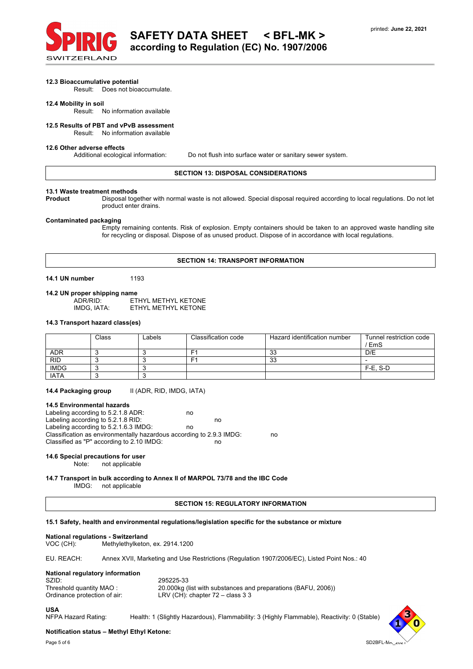

### **12.3 Bioaccumulative potential**

Result: Does not bioaccumulate.

# **12.4 Mobility in soil**

Result: No information available

# **12.5 Results of PBT and vPvB assessment**

Result: No information available

#### **12.6 Other adverse effects**

Additional ecological information: Do not flush into surface water or sanitary sewer system.

#### **SECTION 13: DISPOSAL CONSIDERATIONS**

# **13.1 Waste treatment methods**

Disposal together with normal waste is not allowed. Special disposal required according to local regulations. Do not let product enter drains.

# **Contaminated packaging**

Empty remaining contents. Risk of explosion. Empty containers should be taken to an approved waste handling site for recycling or disposal. Dispose of as unused product. Dispose of in accordance with local regulations.

# **SECTION 14: TRANSPORT INFORMATION**

**14.1 UN number** 1193

**14.2 UN proper shipping name** ADR/RID: ETHYL METHYL KETONE<br>IMDG, IATA: ETHYL METHYL KETONE ETHYL METHYL KETONE

### **14.3 Transport hazard class(es)**

|             | Class | Labels | Classification code | Hazard identification number | Tunnel restriction code<br>' EmS |
|-------------|-------|--------|---------------------|------------------------------|----------------------------------|
| <b>ADR</b>  |       |        | F                   | 33                           | D/E                              |
| RID         |       |        | Е٠                  | 33                           |                                  |
| <b>IMDG</b> |       |        |                     |                              | F-E. S-D                         |
| <b>IATA</b> |       |        |                     |                              |                                  |

14.4 Packaging group **II (ADR, RID, IMDG, IATA)** 

#### **14.5 Environmental hazards**

Labeling according to 5.2.1.8 ADR: no Labeling according to 5.2.1.8 RID: no Labeling according to 5.2.1.6.3 IMDG: no Classification as environmentally hazardous according to 2.9.3 IMDG: no Classified as "P" according to 2.10 IMDG: no

# **14.6 Special precautions for user**

not applicable

#### **14.7 Transport in bulk according to Annex II of MARPOL 73/78 and the IBC Code** IMDG: not applicable

# **SECTION 15: REGULATORY INFORMATION**

### **15.1 Safety, health and environmental regulations/legislation specific for the substance or mixture**

### **National regulations - Switzerland**

VOC (CH): Methylethylketon, ex. 2914.1200

EU. REACH: Annex XVII, Marketing and Use Restrictions (Regulation 1907/2006/EC), Listed Point Nos.: 40

# **National regulatory information**

| SZID:                        | 295225-33                                                     |
|------------------------------|---------------------------------------------------------------|
| Threshold quantity MAO:      | 20.000kg (list with substances and preparations (BAFU, 2006)) |
| Ordinance protection of air: | LRV (CH): chapter $72 -$ class 3 3                            |

#### **USA**

NFPA Hazard Rating: Health: 1 (Slightly Hazardous), Flammability: 3 (Highly Flammable), Reactivity: 0 (Stable)

# **Notification status – Methyl Ethyl Ketone:**

Page 5 of 6 SD2BFL-MK\_2021